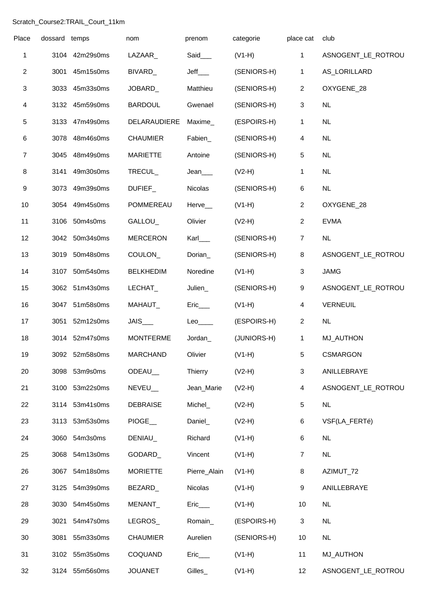## Scratch\_Course2:TRAIL\_Court\_11km

| Place          | dossard temps |                | nom              | prenom                 | categorie   | place cat      | club               |
|----------------|---------------|----------------|------------------|------------------------|-------------|----------------|--------------------|
| 1              |               | 3104 42m29s0ms | LAZAAR_          | Said___                | $(V1-H)$    | $\mathbf{1}$   | ASNOGENT_LE_ROTROU |
| $\overline{2}$ | 3001          | 45m15s0ms      | BIVARD_          | $Jeff$ <sub>____</sub> | (SENIORS-H) | $\mathbf 1$    | AS_LORILLARD       |
| $\sqrt{3}$     | 3033          | 45m33s0ms      | JOBARD_          | Matthieu               | (SENIORS-H) | 2              | OXYGENE_28         |
| 4              |               | 3132 45m59s0ms | <b>BARDOUL</b>   | Gwenael                | (SENIORS-H) | $\mathbf{3}$   | NL                 |
| 5              |               | 3133 47m49s0ms | DELARAUDIERE     | Maxime_                | (ESPOIRS-H) | $\mathbf{1}$   | NL                 |
| 6              | 3078          | 48m46s0ms      | <b>CHAUMIER</b>  | Fabien_                | (SENIORS-H) | $\overline{4}$ | <b>NL</b>          |
| $\overline{7}$ | 3045          | 48m49s0ms      | <b>MARIETTE</b>  | Antoine                | (SENIORS-H) | 5              | <b>NL</b>          |
| 8              | 3141          | 49m30s0ms      | TRECUL_          | Jean                   | $(V2-H)$    | 1              | NL                 |
| 9              | 3073          | 49m39s0ms      | <b>DUFIEF</b>    | Nicolas                | (SENIORS-H) | 6              | <b>NL</b>          |
| 10             | 3054          | 49m45s0ms      | POMMEREAU        | Herve_                 | $(V1-H)$    | 2              | OXYGENE_28         |
| 11             | 3106          | 50m4s0ms       | GALLOU_          | Olivier                | $(V2-H)$    | $\overline{2}$ | <b>EVMA</b>        |
| 12             |               | 3042 50m34s0ms | <b>MERCERON</b>  | Karl                   | (SENIORS-H) | $\overline{7}$ | NL                 |
| 13             | 3019          | 50m48s0ms      | COULON_          | Dorian_                | (SENIORS-H) | 8              | ASNOGENT_LE_ROTROU |
| 14             |               | 3107 50m54s0ms | <b>BELKHEDIM</b> | Noredine               | $(V1-H)$    | $\sqrt{3}$     | <b>JAMG</b>        |
| 15             |               | 3062 51m43s0ms | LECHAT_          | Julien_                | (SENIORS-H) | 9              | ASNOGENT_LE_ROTROU |
| 16             | 3047          | 51m58s0ms      | MAHAUT_          | $Eric$ <sub>____</sub> | $(V1-H)$    | 4              | <b>VERNEUIL</b>    |
| 17             | 3051          | 52m12s0ms      | JAIS___          | $Leo_{\_\_\_\_}$       | (ESPOIRS-H) | $\overline{2}$ | <b>NL</b>          |
| 18             |               | 3014 52m47s0ms | <b>MONTFERME</b> | Jordan_                | (JUNIORS-H) | $\mathbf{1}$   | <b>MJ_AUTHON</b>   |
| 19             |               | 3092 52m58s0ms | <b>MARCHAND</b>  | Olivier                | $(V1-H)$    | 5 <sub>5</sub> | <b>CSMARGON</b>    |
| 20             | 3098          | 53m9s0ms       | ODEAU_           | Thierry                | $(V2-H)$    | 3              | ANILLEBRAYE        |
| 21             | 3100          | 53m22s0ms      | NEVEU_           | Jean_Marie             | $(V2-H)$    | 4              | ASNOGENT_LE_ROTROU |
| 22             |               | 3114 53m41s0ms | <b>DEBRAISE</b>  | Michel_                | $(V2-H)$    | $\sqrt{5}$     | NL                 |
| 23             | 3113          | 53m53s0ms      | PIOGE_           | Daniel_                | $(V2-H)$    | 6              | VSF(LA_FERTé)      |
| 24             | 3060          | 54m3s0ms       | DENIAU_          | Richard                | $(V1-H)$    | 6              | <b>NL</b>          |
| 25             | 3068          | 54m13s0ms      | GODARD_          | Vincent                | $(V1-H)$    | $\overline{7}$ | NL                 |
| 26             | 3067          | 54m18s0ms      | <b>MORIETTE</b>  | Pierre_Alain           | $(V1-H)$    | 8              | AZIMUT_72          |
| 27             | 3125          | 54m39s0ms      | BEZARD_          | Nicolas                | $(V1-H)$    | 9              | ANILLEBRAYE        |
| 28             | 3030          | 54m45s0ms      | MENANT_          | Eric                   | $(V1-H)$    | 10             | <b>NL</b>          |
| 29             | 3021          | 54m47s0ms      | LEGROS_          | Romain_                | (ESPOIRS-H) | 3              | NL                 |
| 30             | 3081          | 55m33s0ms      | <b>CHAUMIER</b>  | Aurelien               | (SENIORS-H) | 10             | <b>NL</b>          |
| 31             | 3102          | 55m35s0ms      | COQUAND          | $Eric$ <sub>____</sub> | $(V1-H)$    | 11             | <b>MJ_AUTHON</b>   |
| 32             |               | 3124 55m56s0ms | <b>JOUANET</b>   | Gilles_                | $(V1-H)$    | 12             | ASNOGENT_LE_ROTROU |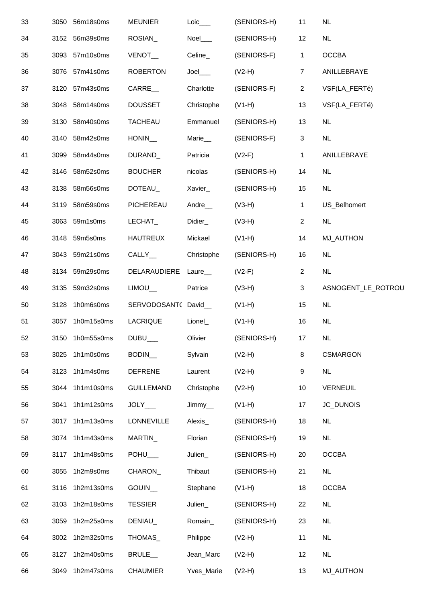| 33 |      | 3050 56m18s0ms  | <b>MEUNIER</b>      | $Loic$ <sub>____</sub> | (SENIORS-H) | 11              | <b>NL</b>          |
|----|------|-----------------|---------------------|------------------------|-------------|-----------------|--------------------|
| 34 |      | 3152 56m39s0ms  | ROSIAN_             | $N$ oel $\_\_$         | (SENIORS-H) | 12              | <b>NL</b>          |
| 35 |      | 3093 57m10s0ms  | <b>VENOT</b>        | Celine_                | (SENIORS-F) | $\mathbf{1}$    | <b>OCCBA</b>       |
| 36 |      | 3076 57m41s0ms  | <b>ROBERTON</b>     | $Joel$ <sub>____</sub> | $(V2-H)$    | $\overline{7}$  | ANILLEBRAYE        |
| 37 |      | 3120 57m43s0ms  | <b>CARRE</b>        | Charlotte              | (SENIORS-F) | $\overline{2}$  | VSF(LA_FERTé)      |
| 38 |      | 3048 58m14s0ms  | <b>DOUSSET</b>      | Christophe             | $(V1-H)$    | 13              | VSF(LA_FERTé)      |
| 39 |      | 3130 58m40s0ms  | <b>TACHEAU</b>      | Emmanuel               | (SENIORS-H) | 13              | <b>NL</b>          |
| 40 |      | 3140 58m42s0ms  | HONIN               | Marie__                | (SENIORS-F) | $\mathbf{3}$    | NL                 |
| 41 |      | 3099 58m44s0ms  | DURAND_             | Patricia               | $(V2-F)$    | $\mathbf{1}$    | ANILLEBRAYE        |
| 42 |      | 3146 58m52s0ms  | <b>BOUCHER</b>      | nicolas                | (SENIORS-H) | 14              | <b>NL</b>          |
| 43 | 3138 | 58m56s0ms       | DOTEAU_             | Xavier_                | (SENIORS-H) | 15              | NL                 |
| 44 |      | 3119 58m59s0ms  | PICHEREAU           | Andre_                 | $(V3-H)$    | $\mathbf{1}$    | US_Belhomert       |
| 45 |      | 3063 59m1s0ms   | LECHAT_             | Didier_                | $(V3-H)$    | $\overline{2}$  | <b>NL</b>          |
| 46 |      | 3148 59m5s0ms   | <b>HAUTREUX</b>     | Mickael                | $(V1-H)$    | 14              | <b>MJ_AUTHON</b>   |
| 47 |      | 3043 59m21s0ms  | CALLY_              | Christophe             | (SENIORS-H) | 16              | <b>NL</b>          |
| 48 |      | 3134 59m29s0ms  | DELARAUDIERE Laure_ |                        | $(V2-F)$    | $\overline{2}$  | NL                 |
| 49 |      | 3135 59m32s0ms  | LIMOU               | Patrice                | $(V3-H)$    | 3               | ASNOGENT_LE_ROTROU |
| 50 |      | 3128 1h0m6s0ms  | SERVODOSANT( David_ |                        | $(V1-H)$    | 15              | <b>NL</b>          |
| 51 |      | 3057 1h0m15s0ms | LACRIQUE            | Lionel_                | $(V1-H)$    | 16              | NL                 |
| 52 |      | 3150 1h0m55s0ms | $DUBU$ ___          | Olivier                | (SENIORS-H) | 17 <sub>2</sub> | <b>NL</b>          |
| 53 | 3025 | 1h1m0s0ms       | BODIN_              | Sylvain                | $(V2-H)$    | 8               | <b>CSMARGON</b>    |
| 54 |      | 3123 1h1m4s0ms  | <b>DEFRENE</b>      | Laurent                | $(V2-H)$    | 9               | NL                 |
| 55 | 3044 | 1h1m10s0ms      | <b>GUILLEMAND</b>   | Christophe             | $(V2-H)$    | 10              | <b>VERNEUIL</b>    |
| 56 | 3041 | 1h1m12s0ms      | JOLY__              | Jimmy_                 | $(V1-H)$    | 17              | JC_DUNOIS          |
| 57 | 3017 | 1h1m13s0ms      | <b>LONNEVILLE</b>   | Alexis_                | (SENIORS-H) | 18              | <b>NL</b>          |
| 58 |      | 3074 1h1m43s0ms | MARTIN_             | Florian                | (SENIORS-H) | 19              | <b>NL</b>          |
| 59 | 3117 | 1h1m48s0ms      | POHU__              | Julien_                | (SENIORS-H) | 20              | <b>OCCBA</b>       |
| 60 | 3055 | 1h2m9s0ms       | CHARON_             | Thibaut                | (SENIORS-H) | 21              | NL                 |
| 61 | 3116 | 1h2m13s0ms      | GOUIN_              | Stephane               | $(V1-H)$    | 18              | <b>OCCBA</b>       |
| 62 | 3103 | 1h2m18s0ms      | <b>TESSIER</b>      | Julien_                | (SENIORS-H) | 22              | <b>NL</b>          |
| 63 | 3059 | 1h2m25s0ms      | DENIAU_             | Romain_                | (SENIORS-H) | 23              | <b>NL</b>          |
| 64 | 3002 | 1h2m32s0ms      | THOMAS_             | Philippe               | $(V2-H)$    | 11              | <b>NL</b>          |
| 65 | 3127 | 1h2m40s0ms      | BRULE_              | Jean_Marc              | $(V2-H)$    | 12              | NL                 |
| 66 | 3049 | 1h2m47s0ms      | <b>CHAUMIER</b>     | Yves_Marie             | $(V2-H)$    | 13              | <b>MJ_AUTHON</b>   |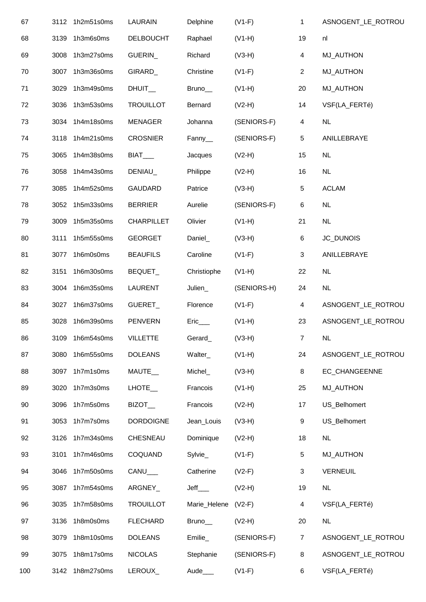| 67  | 3112 | 1h2m51s0ms      | LAURAIN           | Delphine               | $(V1-F)$    | 1                         | ASNOGENT_LE_ROTROU |  |
|-----|------|-----------------|-------------------|------------------------|-------------|---------------------------|--------------------|--|
| 68  | 3139 | 1h3m6s0ms       | <b>DELBOUCHT</b>  | Raphael                | $(V1-H)$    | 19                        | nl                 |  |
| 69  | 3008 | 1h3m27s0ms      | GUERIN_           | Richard                | $(V3-H)$    | 4                         | <b>MJ_AUTHON</b>   |  |
| 70  | 3007 | 1h3m36s0ms      | GIRARD_           | Christine              | $(V1-F)$    | $\overline{2}$            | <b>MJ_AUTHON</b>   |  |
| 71  | 3029 | 1h3m49s0ms      | DHUIT_            | Bruno_                 | $(V1-H)$    | 20                        | <b>MJ_AUTHON</b>   |  |
| 72  | 3036 | 1h3m53s0ms      | <b>TROUILLOT</b>  | Bernard                | $(V2-H)$    | 14                        | VSF(LA_FERTé)      |  |
| 73  | 3034 | 1h4m18s0ms      | <b>MENAGER</b>    | Johanna                | (SENIORS-F) | 4                         | <b>NL</b>          |  |
| 74  | 3118 | 1h4m21s0ms      | <b>CROSNIER</b>   | Fanny_                 | (SENIORS-F) | $\sqrt{5}$                | ANILLEBRAYE        |  |
| 75  | 3065 | 1h4m38s0ms      | BIAT__            | Jacques                | $(V2-H)$    | 15                        | <b>NL</b>          |  |
| 76  | 3058 | 1h4m43s0ms      | DENIAU_           | Philippe               | $(V2-H)$    | 16                        | <b>NL</b>          |  |
| 77  | 3085 | 1h4m52s0ms      | <b>GAUDARD</b>    | Patrice                | $(V3-H)$    | 5                         | <b>ACLAM</b>       |  |
| 78  | 3052 | 1h5m33s0ms      | <b>BERRIER</b>    | Aurelie                | (SENIORS-F) | 6                         | <b>NL</b>          |  |
| 79  | 3009 | 1h5m35s0ms      | <b>CHARPILLET</b> | Olivier                | $(V1-H)$    | 21                        | <b>NL</b>          |  |
| 80  | 3111 | 1h5m55s0ms      | <b>GEORGET</b>    | Daniel_                | $(V3-H)$    | 6                         | JC_DUNOIS          |  |
| 81  | 3077 | 1h6m0s0ms       | <b>BEAUFILS</b>   | Caroline               | $(V1-F)$    | $\sqrt{3}$                | ANILLEBRAYE        |  |
| 82  | 3151 | 1h6m30s0ms      | BEQUET_           | Christiophe            | $(V1-H)$    | 22                        | <b>NL</b>          |  |
| 83  | 3004 | 1h6m35s0ms      | LAURENT           | Julien_                | (SENIORS-H) | 24                        | <b>NL</b>          |  |
| 84  | 3027 | 1h6m37s0ms      | GUERET_           | Florence               | $(V1-F)$    | 4                         | ASNOGENT_LE_ROTROU |  |
| 85  | 3028 | 1h6m39s0ms      | <b>PENVERN</b>    | $Eric$ <sub>____</sub> | $(V1-H)$    | 23                        | ASNOGENT_LE_ROTROU |  |
| 86  |      | 3109 1h6m54s0ms | <b>VILLETTE</b>   | Gerard_                | $(V3-H)$    | $\overline{7}$            | NL                 |  |
| 87  | 3080 | 1h6m55s0ms      | <b>DOLEANS</b>    | Walter_                | $(V1-H)$    | 24                        | ASNOGENT_LE_ROTROU |  |
| 88  | 3097 | 1h7m1s0ms       | MAUTE_            | Michel_                | $(V3-H)$    | 8                         | EC_CHANGEENNE      |  |
| 89  | 3020 | 1h7m3s0ms       | LHOTE_            | Francois               | $(V1-H)$    | 25                        | MJ_AUTHON          |  |
| 90  | 3096 | 1h7m5s0ms       | BIZOT_            | Francois               | $(V2-H)$    | 17                        | US_Belhomert       |  |
| 91  | 3053 | 1h7m7s0ms       | <b>DORDOIGNE</b>  | Jean_Louis             | $(V3-H)$    | 9                         | US_Belhomert       |  |
| 92  | 3126 | 1h7m34s0ms      | CHESNEAU          | Dominique              | $(V2-H)$    | 18                        | <b>NL</b>          |  |
| 93  | 3101 | 1h7m46s0ms      | COQUAND           | Sylvie_                | $(V1-F)$    | 5                         | <b>MJ_AUTHON</b>   |  |
| 94  | 3046 | 1h7m50s0ms      | CANU__            | Catherine              | $(V2-F)$    | $\ensuremath{\mathsf{3}}$ | <b>VERNEUIL</b>    |  |
| 95  | 3087 | 1h7m54s0ms      | ARGNEY_           | $Jeff$ <sub>____</sub> | $(V2-H)$    | 19                        | NL                 |  |
| 96  | 3035 | 1h7m58s0ms      | <b>TROUILLOT</b>  | Marie_Helene           | $(V2-F)$    | 4                         | VSF(LA_FERTé)      |  |
| 97  | 3136 | 1h8m0s0ms       | <b>FLECHARD</b>   | Bruno_                 | $(V2-H)$    | 20                        | NL                 |  |
| 98  | 3079 | 1h8m10s0ms      | <b>DOLEANS</b>    | Emilie_                | (SENIORS-F) | $\overline{7}$            | ASNOGENT_LE_ROTROU |  |
| 99  | 3075 | 1h8m17s0ms      | <b>NICOLAS</b>    | Stephanie              | (SENIORS-F) | 8                         | ASNOGENT_LE_ROTROU |  |
| 100 | 3142 | 1h8m27s0ms      | LEROUX_           | Aude <sub>____</sub>   | $(V1-F)$    | 6                         | VSF(LA_FERTé)      |  |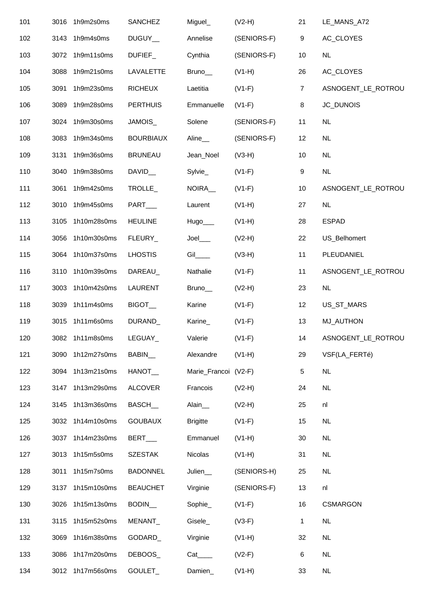| 101 | 3016 | 1h9m2s0ms       | <b>SANCHEZ</b>   | Miguel_               | $(V2-H)$    | 21               | LE_MANS_A72        |  |
|-----|------|-----------------|------------------|-----------------------|-------------|------------------|--------------------|--|
| 102 | 3143 | 1h9m4s0ms       | DUGUY_           | Annelise              | (SENIORS-F) | $\boldsymbol{9}$ | AC_CLOYES          |  |
| 103 | 3072 | 1h9m11s0ms      | DUFIEF_          | Cynthia               | (SENIORS-F) | 10               | <b>NL</b>          |  |
| 104 | 3088 | 1h9m21s0ms      | LAVALETTE        | Bruno_                | $(V1-H)$    | 26               | AC_CLOYES          |  |
| 105 | 3091 | 1h9m23s0ms      | <b>RICHEUX</b>   | Laetitia              | $(V1-F)$    | $\overline{7}$   | ASNOGENT_LE_ROTROU |  |
| 106 | 3089 | 1h9m28s0ms      | <b>PERTHUIS</b>  | Emmanuelle            | $(V1-F)$    | 8                | JC_DUNOIS          |  |
| 107 | 3024 | 1h9m30s0ms      | JAMOIS_          | Solene                | (SENIORS-F) | 11               | <b>NL</b>          |  |
| 108 | 3083 | 1h9m34s0ms      | <b>BOURBIAUX</b> | Aline_                | (SENIORS-F) | 12               | <b>NL</b>          |  |
| 109 | 3131 | 1h9m36s0ms      | <b>BRUNEAU</b>   | Jean_Noel             | $(V3-H)$    | 10               | <b>NL</b>          |  |
| 110 | 3040 | 1h9m38s0ms      | DAVID_           | Sylvie_               | $(V1-F)$    | $\boldsymbol{9}$ | NL                 |  |
| 111 | 3061 | 1h9m42s0ms      | TROLLE_          | NOIRA_                | $(V1-F)$    | 10               | ASNOGENT_LE_ROTROU |  |
| 112 | 3010 | 1h9m45s0ms      | PART___          | Laurent               | $(V1-H)$    | 27               | <b>NL</b>          |  |
| 113 | 3105 | 1h10m28s0ms     | <b>HEULINE</b>   | Hugo___               | $(V1-H)$    | 28               | <b>ESPAD</b>       |  |
| 114 | 3056 | 1h10m30s0ms     | FLEURY_          | $Joel$ <sub>___</sub> | $(V2-H)$    | 22               | US_Belhomert       |  |
| 115 | 3064 | 1h10m37s0ms     | <b>LHOSTIS</b>   | $Gi$ <sub>___</sub>   | $(V3-H)$    | 11               | PLEUDANIEL         |  |
| 116 | 3110 | 1h10m39s0ms     | DAREAU_          | Nathalie              | $(V1-F)$    | 11               | ASNOGENT_LE_ROTROU |  |
| 117 | 3003 | 1h10m42s0ms     | <b>LAURENT</b>   | Bruno_                | $(V2-H)$    | 23               | <b>NL</b>          |  |
| 118 | 3039 | 1h11m4s0ms      | BIGOT_           | Karine                | $(V1-F)$    | 12               | US_ST_MARS         |  |
| 119 | 3015 | 1h11m6s0ms      | DURAND           | Karine_               | $(V1-F)$    | 13               | MJ_AUTHON          |  |
| 120 |      | 3082 1h11m8s0ms | LEGUAY_          | Valerie               | $(V1-F)$    | 14               | ASNOGENT_LE_ROTROU |  |
| 121 | 3090 | 1h12m27s0ms     | BABIN_           | Alexandre             | $(V1-H)$    | 29               | VSF(LA_FERTé)      |  |
| 122 | 3094 | 1h13m21s0ms     | HANOT_           | Marie_Francoi (V2-F)  |             | 5                | <b>NL</b>          |  |
| 123 | 3147 | 1h13m29s0ms     | <b>ALCOVER</b>   | Francois              | $(V2-H)$    | 24               | NL                 |  |
| 124 | 3145 | 1h13m36s0ms     | <b>BASCH</b>     | Alain_                | $(V2-H)$    | 25               | nl                 |  |
| 125 | 3032 | 1h14m10s0ms     | <b>GOUBAUX</b>   | <b>Brigitte</b>       | $(V1-F)$    | 15               | <b>NL</b>          |  |
| 126 | 3037 | 1h14m23s0ms     | BERT___          | Emmanuel              | $(V1-H)$    | 30               | <b>NL</b>          |  |
| 127 | 3013 | 1h15m5s0ms      | <b>SZESTAK</b>   | Nicolas               | $(V1-H)$    | 31               | NL                 |  |
| 128 | 3011 | 1h15m7s0ms      | <b>BADONNEL</b>  | Julien_               | (SENIORS-H) | 25               | NL                 |  |
| 129 | 3137 | 1h15m10s0ms     | <b>BEAUCHET</b>  | Virginie              | (SENIORS-F) | 13               | nl                 |  |
| 130 | 3026 | 1h15m13s0ms     | BODIN_           | Sophie_               | $(V1-F)$    | 16               | <b>CSMARGON</b>    |  |
| 131 | 3115 | 1h15m52s0ms     | MENANT_          | Gisele_               | $(V3-F)$    | 1                | <b>NL</b>          |  |
| 132 | 3069 | 1h16m38s0ms     | GODARD_          | Virginie              | $(V1-H)$    | 32               | <b>NL</b>          |  |
| 133 | 3086 | 1h17m20s0ms     | DEBOOS_          | $Cat$ <sub>____</sub> | $(V2-F)$    | 6                | <b>NL</b>          |  |
| 134 | 3012 | 1h17m56s0ms     | GOULET_          | Damien_               | $(V1-H)$    | 33               | <b>NL</b>          |  |